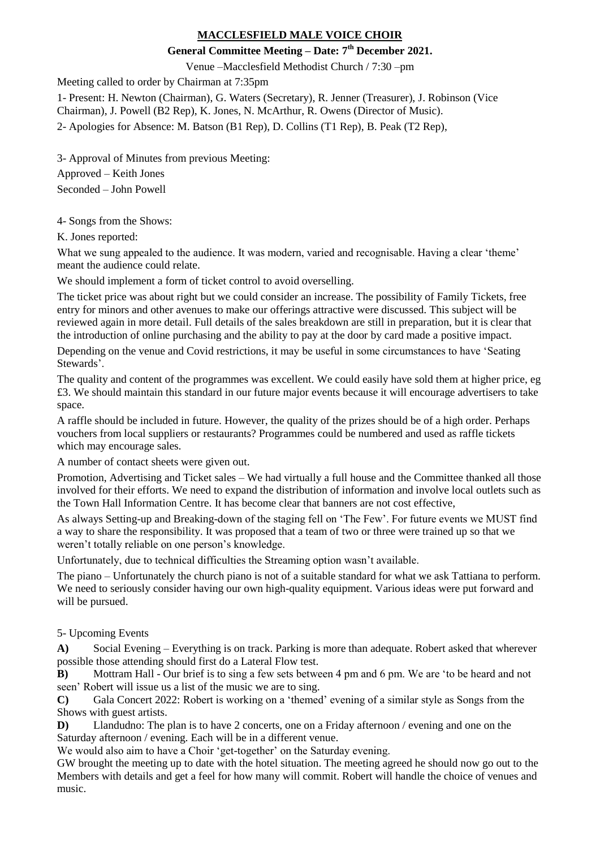## **MACCLESFIELD MALE VOICE CHOIR**

## **General Committee Meeting – Date: 7 th December 2021.**

Venue –Macclesfield Methodist Church / 7:30 –pm

Meeting called to order by Chairman at 7:35pm

1- Present: H. Newton (Chairman), G. Waters (Secretary), R. Jenner (Treasurer), J. Robinson (Vice Chairman), J. Powell (B2 Rep), K. Jones, N. McArthur, R. Owens (Director of Music). 2- Apologies for Absence: M. Batson (B1 Rep), D. Collins (T1 Rep), B. Peak (T2 Rep),

3- Approval of Minutes from previous Meeting:

Approved – Keith Jones Seconded – John Powell

4- Songs from the Shows:

K. Jones reported:

What we sung appealed to the audience. It was modern, varied and recognisable. Having a clear 'theme' meant the audience could relate.

We should implement a form of ticket control to avoid overselling.

The ticket price was about right but we could consider an increase. The possibility of Family Tickets, free entry for minors and other avenues to make our offerings attractive were discussed. This subject will be reviewed again in more detail. Full details of the sales breakdown are still in preparation, but it is clear that the introduction of online purchasing and the ability to pay at the door by card made a positive impact.

Depending on the venue and Covid restrictions, it may be useful in some circumstances to have 'Seating Stewards'.

The quality and content of the programmes was excellent. We could easily have sold them at higher price, eg £3. We should maintain this standard in our future major events because it will encourage advertisers to take space.

A raffle should be included in future. However, the quality of the prizes should be of a high order. Perhaps vouchers from local suppliers or restaurants? Programmes could be numbered and used as raffle tickets which may encourage sales.

A number of contact sheets were given out.

Promotion, Advertising and Ticket sales – We had virtually a full house and the Committee thanked all those involved for their efforts. We need to expand the distribution of information and involve local outlets such as the Town Hall Information Centre. It has become clear that banners are not cost effective,

As always Setting-up and Breaking-down of the staging fell on 'The Few'. For future events we MUST find a way to share the responsibility. It was proposed that a team of two or three were trained up so that we weren't totally reliable on one person's knowledge.

Unfortunately, due to technical difficulties the Streaming option wasn't available.

The piano – Unfortunately the church piano is not of a suitable standard for what we ask Tattiana to perform. We need to seriously consider having our own high-quality equipment. Various ideas were put forward and will be pursued.

5- Upcoming Events

**A)** Social Evening – Everything is on track. Parking is more than adequate. Robert asked that wherever possible those attending should first do a Lateral Flow test.

**B)** Mottram Hall - Our brief is to sing a few sets between 4 pm and 6 pm. We are 'to be heard and not seen' Robert will issue us a list of the music we are to sing.

**C)** Gala Concert 2022: Robert is working on a 'themed' evening of a similar style as Songs from the Shows with guest artists.

**D)** Llandudno: The plan is to have 2 concerts, one on a Friday afternoon / evening and one on the Saturday afternoon / evening. Each will be in a different venue.

We would also aim to have a Choir 'get-together' on the Saturday evening.

GW brought the meeting up to date with the hotel situation. The meeting agreed he should now go out to the Members with details and get a feel for how many will commit. Robert will handle the choice of venues and music.